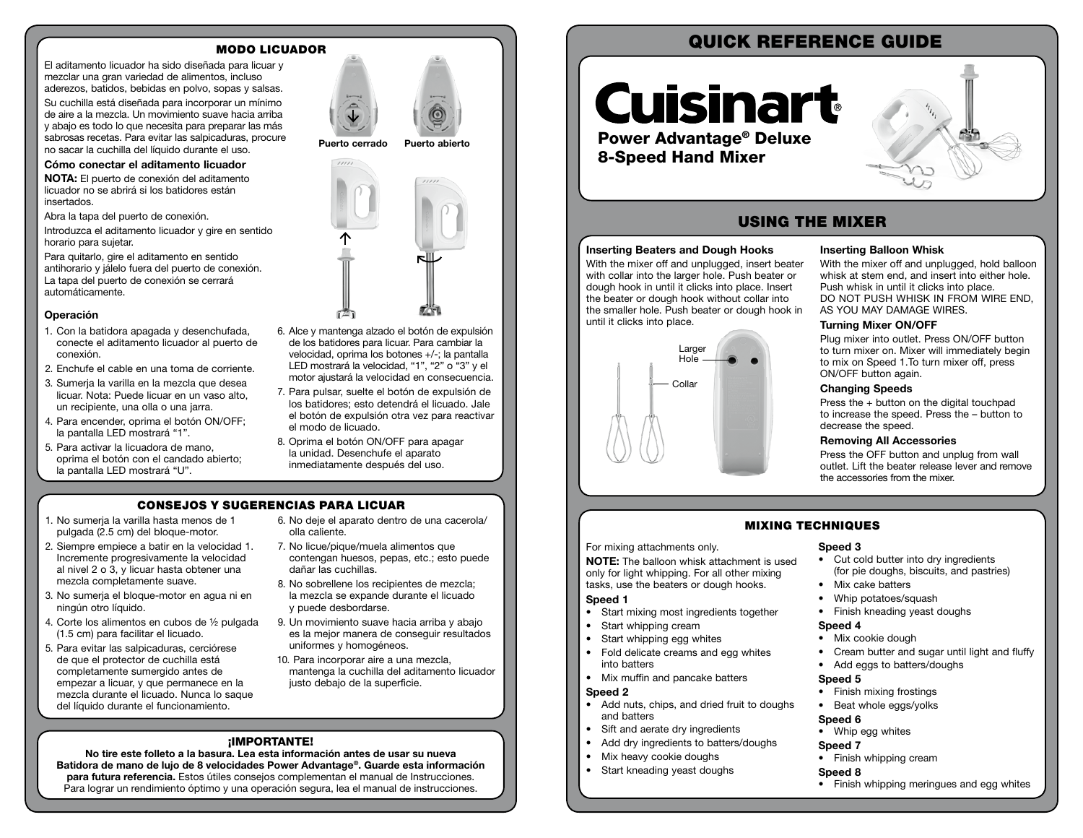#### MODO LICUADOR

El aditamento licuador ha sido diseñada para licuar y mezclar una gran variedad de alimentos, incluso aderezos, batidos, bebidas en polvo, sopas y salsas.

Su cuchilla está diseñada para incorporar un mínimo de aire a la mezcla. Un movimiento suave hacia arriba y abajo es todo lo que necesita para preparar las más sabrosas recetas. Para evitar las salpicaduras, procure no sacar la cuchilla del líquido durante el uso.

#### Cómo conectar el aditamento licuador

NOTA: El puerto de conexión del aditamento licuador no se abrirá si los batidores están insertados.

Abra la tapa del puerto de conexión.

Introduzca el aditamento licuador y gire en sentido horario para sujetar.

Para quitarlo, gire el aditamento en sentido antihorario y jálelo fuera del puerto de conexión. La tapa del puerto de conexión se cerrará automáticamente.

#### Operación

- 1. Con la batidora apagada y desenchufada, conecte el aditamento licuador al puerto de conexión.
- 2. Enchufe el cable en una toma de corriente.
- 3. Sumerja la varilla en la mezcla que desea licuar. Nota: Puede licuar en un vaso alto, un recipiente, una olla o una jarra.
- 4. Para encender, oprima el botón ON/OFF; la pantalla LED mostrará "1".
- 5. Para activar la licuadora de mano, oprima el botón con el candado abierto; la pantalla LED mostrará "U".





#### 6. Alce y mantenga alzado el botón de expulsión de los batidores para licuar. Para cambiar la velocidad, oprima los botones +/-; la pantalla LED mostrará la velocidad, "1", "2" o "3" y el motor ajustará la velocidad en consecuencia.

- 7. Para pulsar, suelte el botón de expulsión de los batidores; esto detendrá el licuado. Jale el botón de expulsión otra vez para reactivar el modo de licuado.
- 8. Oprima el botón ON/OFF para apagar la unidad. Desenchufe el aparato inmediatamente después del uso.

#### CONSEJOS Y SUGERENCIAS PARA LICUAR

- 1. No sumerja la varilla hasta menos de 1 pulgada (2.5 cm) del bloque-motor.
- 2. Siempre empiece a batir en la velocidad 1. Incremente progresivamente la velocidad al nivel 2 o 3, y licuar hasta obtener una mezcla completamente suave.
- 3. No sumerja el bloque-motor en agua ni en ningún otro líquido.
- 4. Corte los alimentos en cubos de ½ pulgada (1.5 cm) para facilitar el licuado.
- 5. Para evitar las salpicaduras, cerciórese de que el protector de cuchilla está completamente sumergido antes de empezar a licuar, y que permanece en la mezcla durante el licuado. Nunca lo saque del líquido durante el funcionamiento.
- 6. No deje el aparato dentro de una cacerola/ olla caliente.
- 7. No licue/pique/muela alimentos que contengan huesos, pepas, etc.; esto puede dañar las cuchillas.
- 8. No sobrellene los recipientes de mezcla; la mezcla se expande durante el licuado y puede desbordarse.
- 9. Un movimiento suave hacia arriba y abajo es la mejor manera de conseguir resultados uniformes y homogéneos.
- 10. Para incorporar aire a una mezcla, mantenga la cuchilla del aditamento licuador justo debajo de la superficie.

#### ¡IMPORTANTE!

No tire este folleto a la basura. Lea esta información antes de usar su nueva Batidora de mano de lujo de 8 velocidades Power Advantage®. Guarde esta información para futura referencia. Estos útiles consejos complementan el manual de Instrucciones. Para lograr un rendimiento óptimo y una operación segura, lea el manual de instrucciones.

# QUICK REFERENCE GUIDE

# **Cuisinart** Power Advantage® Deluxe 8-Speed Hand Mixer



## USING THE MIXER

#### Inserting Beaters and Dough Hooks

With the mixer off and unplugged, insert beater with collar into the larger hole. Push beater or dough hook in until it clicks into place. Insert the beater or dough hook without collar into the smaller hole. Push beater or dough hook in until it clicks into place.



#### Inserting Balloon Whisk

With the mixer off and unplugged, hold balloon whisk at stem end, and insert into either hole. Push whisk in until it clicks into place. DO NOT PUSH WHISK IN FROM WIRE END, AS YOU MAY DAMAGE WIRES.

#### Turning Mixer ON/OFF

Plug mixer into outlet. Press ON/OFF button to turn mixer on. Mixer will immediately begin to mix on Speed 1.To turn mixer off, press ON/OFF button again.

#### Changing Speeds

Press the + button on the digital touchpad to increase the speed. Press the – button to decrease the speed.

#### Removing All Accessories

Press the OFF button and unplug from wall outlet. Lift the beater release lever and remove the accessories from the mixer.

### MIXING TECHNIQUES

#### Speed 3

- Cut cold butter into dry ingredients (for pie doughs, biscuits, and pastries)
- Mix cake batters
- Whip potatoes/squash
- Finish kneading yeast doughs
- Speed 4
	- Mix cookie dough
	- Cream butter and sugar until light and fluffy
	- Add eggs to batters/doughs

#### Speed 5

- Finish mixing frostings
- Beat whole eggs/yolks

#### Speed 6

- Whip egg whites
- Speed 7
- Finish whipping cream

#### Speed 8

• Finish whipping meringues and egg whites

For mixing attachments only. NOTE: The balloon whisk attachment is used

only for light whipping. For all other mixing tasks, use the beaters or dough hooks.

#### Speed 1

- Start mixing most ingredients together
- Start whipping cream
- Start whipping egg whites
- Fold delicate creams and egg whites into batters
- Mix muffin and pancake batters

#### Speed 2

- Add nuts, chips, and dried fruit to doughs and batters
- Sift and aerate dry ingredients
- Add dry ingredients to batters/doughs
- Mix heavy cookie doughs
- Start kneading yeast doughs